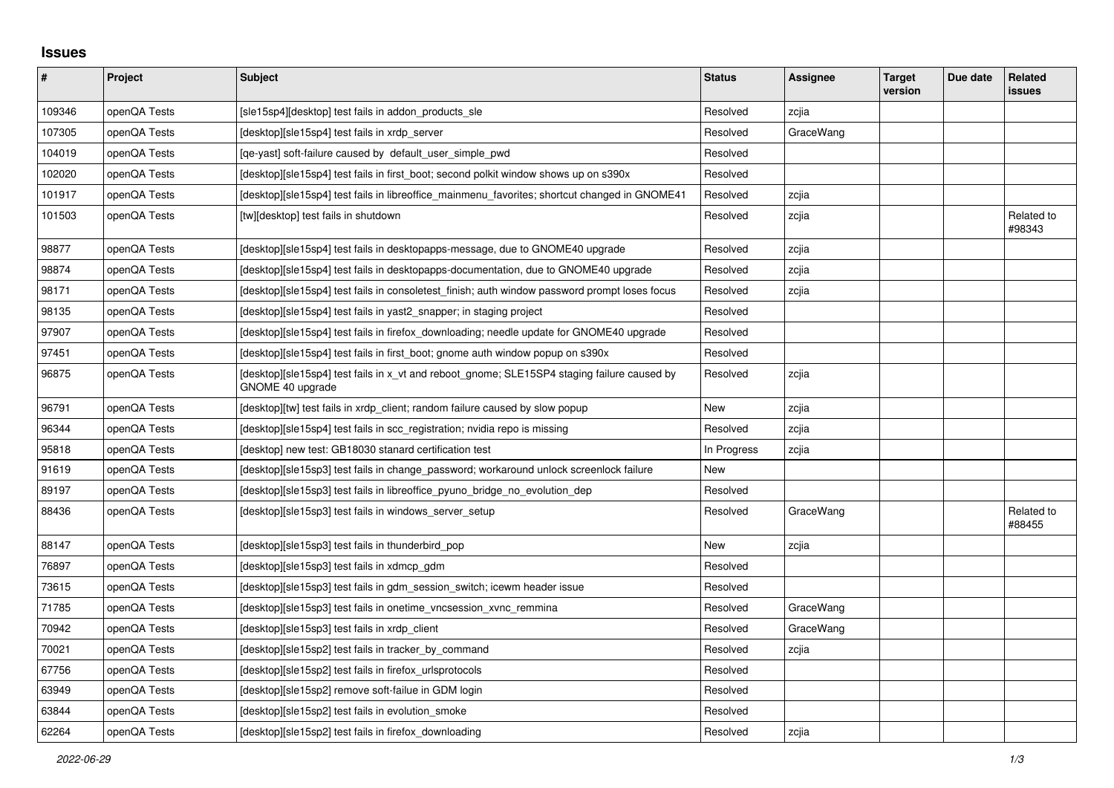## **Issues**

| #      | Project      | <b>Subject</b>                                                                                                  | <b>Status</b> | Assignee  | <b>Target</b><br>version | Due date | Related<br>issues    |
|--------|--------------|-----------------------------------------------------------------------------------------------------------------|---------------|-----------|--------------------------|----------|----------------------|
| 109346 | openQA Tests | [sle15sp4][desktop] test fails in addon_products_sle                                                            | Resolved      | zcjia     |                          |          |                      |
| 107305 | openQA Tests | [desktop][sle15sp4] test fails in xrdp_server                                                                   | Resolved      | GraceWang |                          |          |                      |
| 104019 | openQA Tests | [ge-yast] soft-failure caused by default user simple pwd                                                        | Resolved      |           |                          |          |                      |
| 102020 | openQA Tests | [desktop][sle15sp4] test fails in first boot; second polkit window shows up on s390x                            | Resolved      |           |                          |          |                      |
| 101917 | openQA Tests | [desktop][sle15sp4] test fails in libreoffice_mainmenu_favorites; shortcut changed in GNOME41                   | Resolved      | zcjia     |                          |          |                      |
| 101503 | openQA Tests | [tw][desktop] test fails in shutdown                                                                            | Resolved      | zcjia     |                          |          | Related to<br>#98343 |
| 98877  | openQA Tests | [desktop][sle15sp4] test fails in desktopapps-message, due to GNOME40 upgrade                                   | Resolved      | zcjia     |                          |          |                      |
| 98874  | openQA Tests | [desktop][sle15sp4] test fails in desktopapps-documentation, due to GNOME40 upgrade                             | Resolved      | zcjia     |                          |          |                      |
| 98171  | openQA Tests | [desktop][sle15sp4] test fails in consoletest_finish; auth window password prompt loses focus                   | Resolved      | zcjia     |                          |          |                      |
| 98135  | openQA Tests | [desktop][sle15sp4] test fails in yast2 snapper; in staging project                                             | Resolved      |           |                          |          |                      |
| 97907  | openQA Tests | [desktop][sle15sp4] test fails in firefox downloading; needle update for GNOME40 upgrade                        | Resolved      |           |                          |          |                      |
| 97451  | openQA Tests | [desktop][sle15sp4] test fails in first_boot; gnome auth window popup on s390x                                  | Resolved      |           |                          |          |                      |
| 96875  | openQA Tests | [desktop][sle15sp4] test fails in x_vt and reboot_gnome; SLE15SP4 staging failure caused by<br>GNOME 40 upgrade | Resolved      | zcjia     |                          |          |                      |
| 96791  | openQA Tests | [desktop][tw] test fails in xrdp client; random failure caused by slow popup                                    | New           | zcjia     |                          |          |                      |
| 96344  | openQA Tests | [desktop][sle15sp4] test fails in scc registration; nvidia repo is missing                                      | Resolved      | zcjia     |                          |          |                      |
| 95818  | openQA Tests | [desktop] new test: GB18030 stanard certification test                                                          | In Progress   | zcjia     |                          |          |                      |
| 91619  | openQA Tests | [desktop][sle15sp3] test fails in change password; workaround unlock screenlock failure                         | <b>New</b>    |           |                          |          |                      |
| 89197  | openQA Tests | [desktop][sle15sp3] test fails in libreoffice pyuno bridge no evolution dep                                     | Resolved      |           |                          |          |                      |
| 88436  | openQA Tests | [desktop][sle15sp3] test fails in windows_server_setup                                                          | Resolved      | GraceWang |                          |          | Related to<br>#88455 |
| 88147  | openQA Tests | [desktop][sle15sp3] test fails in thunderbird_pop                                                               | <b>New</b>    | zcjia     |                          |          |                      |
| 76897  | openQA Tests | [desktop][sle15sp3] test fails in xdmcp gdm                                                                     | Resolved      |           |                          |          |                      |
| 73615  | openQA Tests | [desktop][sle15sp3] test fails in gdm session switch; icewm header issue                                        | Resolved      |           |                          |          |                      |
| 71785  | openQA Tests | [desktop][sle15sp3] test fails in onetime_vncsession_xvnc_remmina                                               | Resolved      | GraceWang |                          |          |                      |
| 70942  | openQA Tests | [desktop][sle15sp3] test fails in xrdp_client                                                                   | Resolved      | GraceWang |                          |          |                      |
| 70021  | openQA Tests | [desktop][sle15sp2] test fails in tracker by command                                                            | Resolved      | zcjia     |                          |          |                      |
| 67756  | openQA Tests | [desktop][sle15sp2] test fails in firefox urlsprotocols                                                         | Resolved      |           |                          |          |                      |
| 63949  | openQA Tests | [desktop][sle15sp2] remove soft-failue in GDM login                                                             | Resolved      |           |                          |          |                      |
| 63844  | openQA Tests | [desktop][sle15sp2] test fails in evolution_smoke                                                               | Resolved      |           |                          |          |                      |
| 62264  | openQA Tests | [desktop][sle15sp2] test fails in firefox downloading                                                           | Resolved      | zcjia     |                          |          |                      |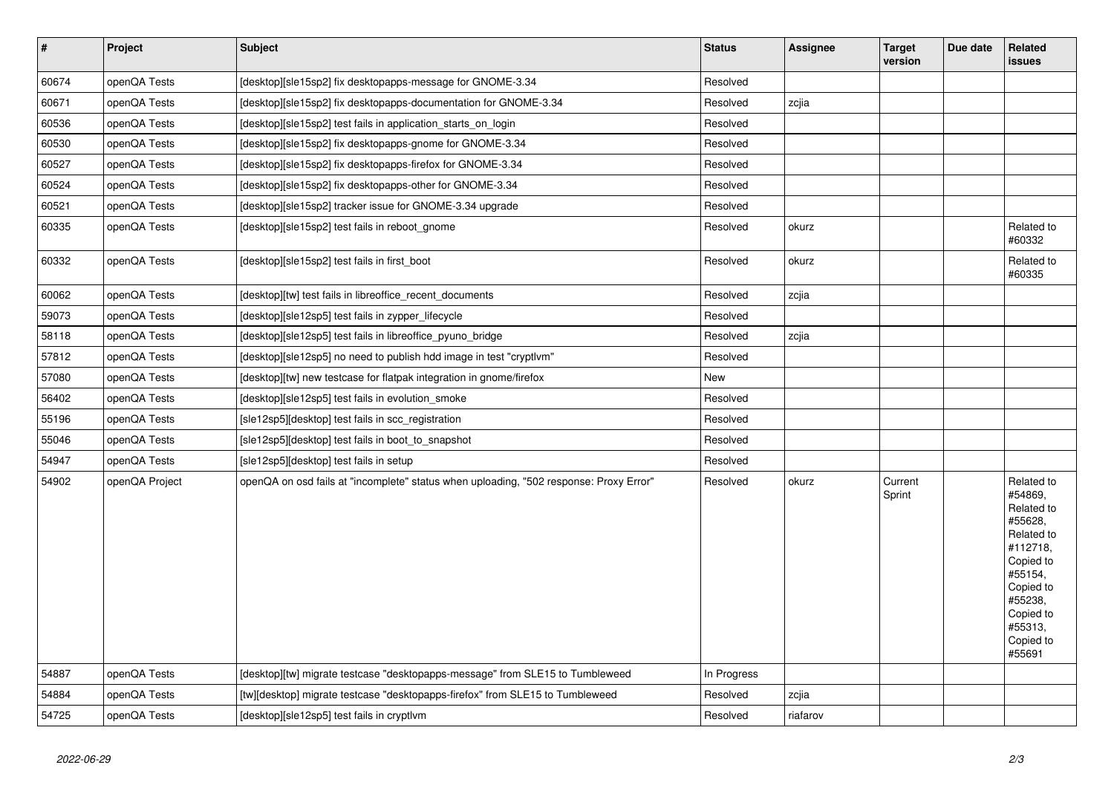| $\vert$ # | Project        | <b>Subject</b>                                                                         | <b>Status</b> | Assignee | <b>Target</b><br>version | Due date | Related<br><b>issues</b>                                                                                                                                                |
|-----------|----------------|----------------------------------------------------------------------------------------|---------------|----------|--------------------------|----------|-------------------------------------------------------------------------------------------------------------------------------------------------------------------------|
| 60674     | openQA Tests   | [desktop][sle15sp2] fix desktopapps-message for GNOME-3.34                             | Resolved      |          |                          |          |                                                                                                                                                                         |
| 60671     | openQA Tests   | [desktop][sle15sp2] fix desktopapps-documentation for GNOME-3.34                       | Resolved      | zcjia    |                          |          |                                                                                                                                                                         |
| 60536     | openQA Tests   | [desktop][sle15sp2] test fails in application_starts_on_login                          | Resolved      |          |                          |          |                                                                                                                                                                         |
| 60530     | openQA Tests   | [desktop][sle15sp2] fix desktopapps-gnome for GNOME-3.34                               | Resolved      |          |                          |          |                                                                                                                                                                         |
| 60527     | openQA Tests   | [desktop][sle15sp2] fix desktopapps-firefox for GNOME-3.34                             | Resolved      |          |                          |          |                                                                                                                                                                         |
| 60524     | openQA Tests   | [desktop][sle15sp2] fix desktopapps-other for GNOME-3.34                               | Resolved      |          |                          |          |                                                                                                                                                                         |
| 60521     | openQA Tests   | [desktop][sle15sp2] tracker issue for GNOME-3.34 upgrade                               | Resolved      |          |                          |          |                                                                                                                                                                         |
| 60335     | openQA Tests   | [desktop][sle15sp2] test fails in reboot gnome                                         | Resolved      | okurz    |                          |          | Related to<br>#60332                                                                                                                                                    |
| 60332     | openQA Tests   | [desktop][sle15sp2] test fails in first_boot                                           | Resolved      | okurz    |                          |          | Related to<br>#60335                                                                                                                                                    |
| 60062     | openQA Tests   | [desktop][tw] test fails in libreoffice_recent_documents                               | Resolved      | zcjia    |                          |          |                                                                                                                                                                         |
| 59073     | openQA Tests   | [desktop][sle12sp5] test fails in zypper_lifecycle                                     | Resolved      |          |                          |          |                                                                                                                                                                         |
| 58118     | openQA Tests   | [desktop][sle12sp5] test fails in libreoffice pyuno bridge                             | Resolved      | zcjia    |                          |          |                                                                                                                                                                         |
| 57812     | openQA Tests   | [desktop][sle12sp5] no need to publish hdd image in test "cryptlvm"                    | Resolved      |          |                          |          |                                                                                                                                                                         |
| 57080     | openQA Tests   | [desktop][tw] new testcase for flatpak integration in gnome/firefox                    | New           |          |                          |          |                                                                                                                                                                         |
| 56402     | openQA Tests   | [desktop][sle12sp5] test fails in evolution smoke                                      | Resolved      |          |                          |          |                                                                                                                                                                         |
| 55196     | openQA Tests   | [sle12sp5][desktop] test fails in scc_registration                                     | Resolved      |          |                          |          |                                                                                                                                                                         |
| 55046     | openQA Tests   | [sle12sp5][desktop] test fails in boot_to_snapshot                                     | Resolved      |          |                          |          |                                                                                                                                                                         |
| 54947     | openQA Tests   | [sle12sp5][desktop] test fails in setup                                                | Resolved      |          |                          |          |                                                                                                                                                                         |
| 54902     | openQA Project | openQA on osd fails at "incomplete" status when uploading, "502 response: Proxy Error" | Resolved      | okurz    | Current<br>Sprint        |          | Related to<br>#54869,<br>Related to<br>#55628,<br>Related to<br>#112718,<br>Copied to<br>#55154,<br>Copied to<br>#55238,<br>Copied to<br>#55313,<br>Copied to<br>#55691 |
| 54887     | openQA Tests   | [desktop][tw] migrate testcase "desktopapps-message" from SLE15 to Tumbleweed          | In Progress   |          |                          |          |                                                                                                                                                                         |
| 54884     | openQA Tests   | [tw][desktop] migrate testcase "desktopapps-firefox" from SLE15 to Tumbleweed          | Resolved      | zcjia    |                          |          |                                                                                                                                                                         |
| 54725     | openQA Tests   | [desktop][sle12sp5] test fails in cryptlym                                             | Resolved      | riafarov |                          |          |                                                                                                                                                                         |